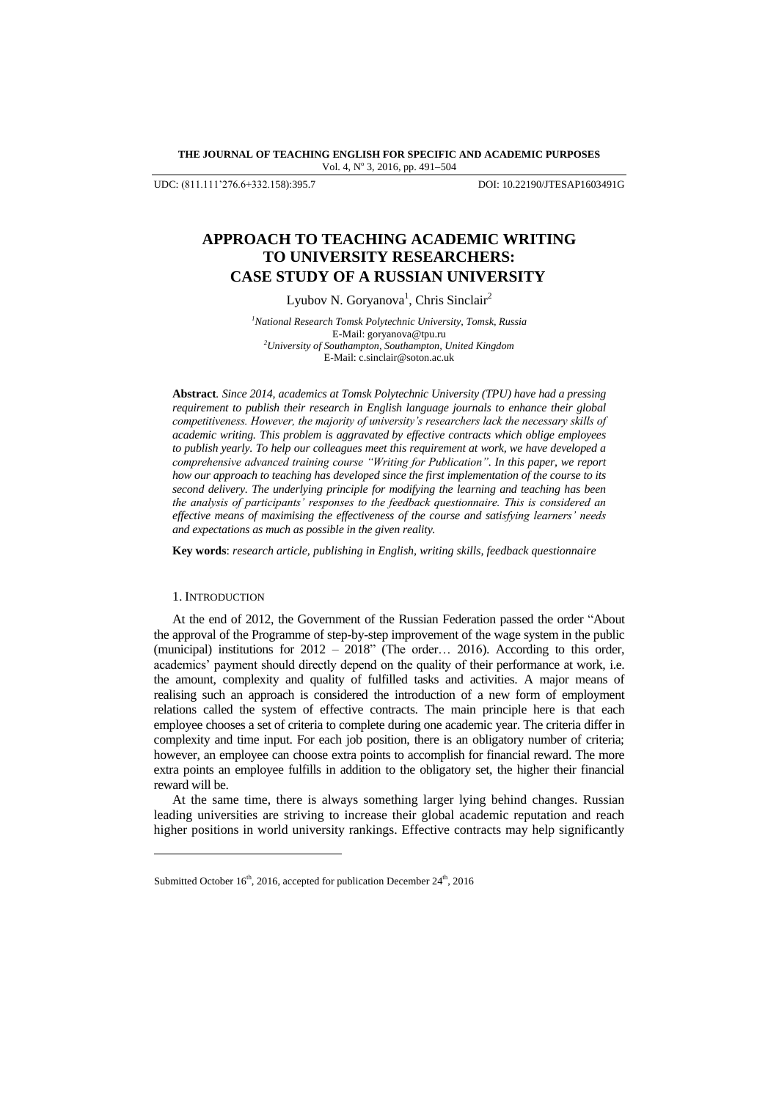**THE JOURNAL OF TEACHING ENGLISH FOR SPECIFIC AND ACADEMIC PURPOSES** Vol. 4, Nº 3, 2016, pp. 491-504

UDC: (811.111"276.6+332.158):395.7 DOI: 10.22190/JTESAP1603491G

# **APPROACH TO TEACHING ACADEMIC WRITING TO UNIVERSITY RESEARCHERS: CASE STUDY OF A RUSSIAN UNIVERSITY**

Lyubov N. Goryanova<sup>1</sup>, Chris Sinclair<sup>2</sup>

*<sup>1</sup>National Research Tomsk Polytechnic University, Tomsk, Russia* E-Mail: goryanova@tpu.ru *<sup>2</sup>University of Southampton, Southampton, United Kingdom* E-Mail: c.sinclair@soton.ac.uk

**Abstract***. Since 2014, academics at Tomsk Polytechnic University (TPU) have had a pressing requirement to publish their research in English language journals to enhance their global competitiveness. However, the majority of university's researchers lack the necessary skills of academic writing. This problem is aggravated by effective contracts which oblige employees to publish yearly. To help our colleagues meet this requirement at work, we have developed a comprehensive advanced training course "Writing for Publication". In this paper, we report how our approach to teaching has developed since the first implementation of the course to its second delivery. The underlying principle for modifying the learning and teaching has been the analysis of participants' responses to the feedback questionnaire. This is considered an effective means of maximising the effectiveness of the course and satisfying learners' needs and expectations as much as possible in the given reality.*

**Key words**: *research article, publishing in English, writing skills, feedback questionnaire*

### 1. INTRODUCTION

l

At the end of 2012, the Government of the Russian Federation passed the order "About the approval of the Programme of step-by-step improvement of the wage system in the public (municipal) institutions for 2012 – 2018" (The order… 2016). According to this order, academics' payment should directly depend on the quality of their performance at work, i.e. the amount, complexity and quality of fulfilled tasks and activities. A major means of realising such an approach is considered the introduction of a new form of employment relations called the system of effective contracts. The main principle here is that each employee chooses a set of criteria to complete during one academic year. The criteria differ in complexity and time input. For each job position, there is an obligatory number of criteria; however, an employee can choose extra points to accomplish for financial reward. The more extra points an employee fulfills in addition to the obligatory set, the higher their financial reward will be.

At the same time, there is always something larger lying behind changes. Russian leading universities are striving to increase their global academic reputation and reach higher positions in world university rankings. Effective contracts may help significantly

Submitted October 16<sup>th</sup>, 2016, accepted for publication December 24<sup>th</sup>, 2016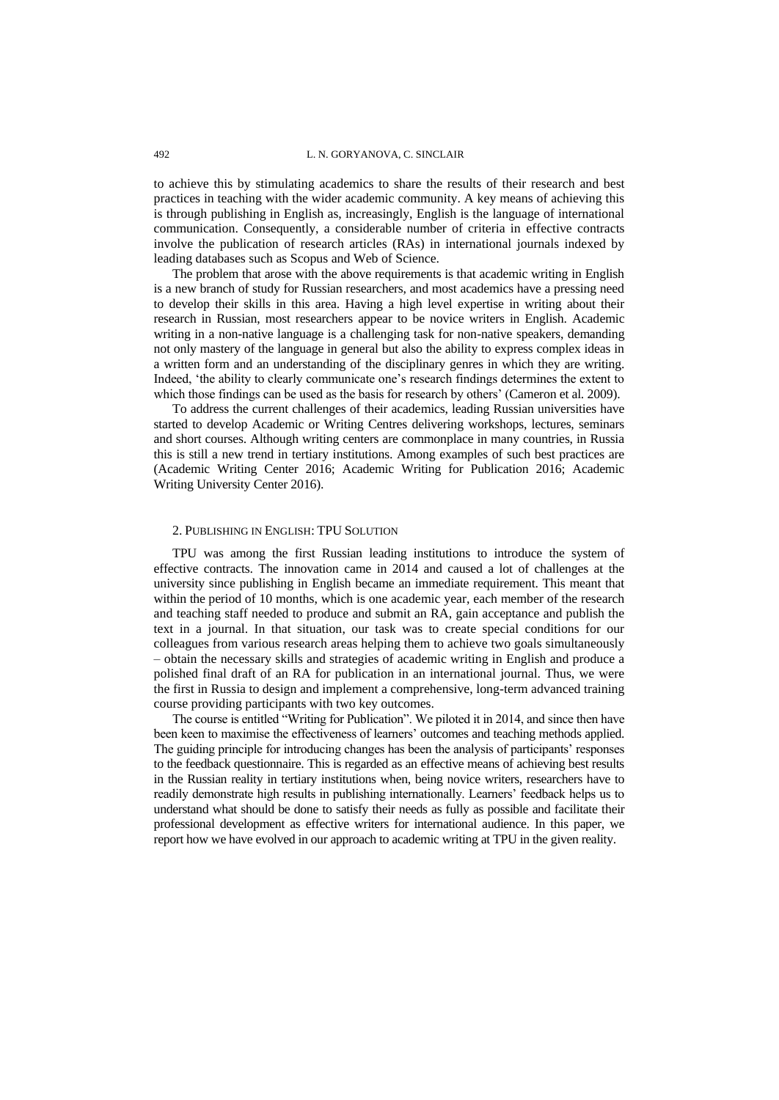to achieve this by stimulating academics to share the results of their research and best practices in teaching with the wider academic community. A key means of achieving this is through publishing in English as, increasingly, English is the language of international communication. Consequently, a considerable number of criteria in effective contracts involve the publication of research articles (RAs) in international journals indexed by leading databases such as Scopus and Web of Science.

The problem that arose with the above requirements is that academic writing in English is a new branch of study for Russian researchers, and most academics have a pressing need to develop their skills in this area. Having a high level expertise in writing about their research in Russian, most researchers appear to be novice writers in English. Academic writing in a non-native language is a challenging task for non-native speakers, demanding not only mastery of the language in general but also the ability to express complex ideas in a written form and an understanding of the disciplinary genres in which they are writing. Indeed, "the ability to clearly communicate one"s research findings determines the extent to which those findings can be used as the basis for research by others' (Cameron et al. 2009).

To address the current challenges of their academics, leading Russian universities have started to develop Academic or Writing Centres delivering workshops, lectures, seminars and short courses. Although writing centers are commonplace in many countries, in Russia this is still a new trend in tertiary institutions. Among examples of such best practices are (Academic Writing Center 2016; Academic Writing for Publication 2016; Academic Writing University Center 2016).

### 2. PUBLISHING IN ENGLISH: TPU SOLUTION

TPU was among the first Russian leading institutions to introduce the system of effective contracts. The innovation came in 2014 and caused a lot of challenges at the university since publishing in English became an immediate requirement. This meant that within the period of 10 months, which is one academic year, each member of the research and teaching staff needed to produce and submit an RA, gain acceptance and publish the text in a journal. In that situation, our task was to create special conditions for our colleagues from various research areas helping them to achieve two goals simultaneously – obtain the necessary skills and strategies of academic writing in English and produce a polished final draft of an RA for publication in an international journal. Thus, we were the first in Russia to design and implement a comprehensive, long-term advanced training course providing participants with two key outcomes.

The course is entitled "Writing for Publication". We piloted it in 2014, and since then have been keen to maximise the effectiveness of learners" outcomes and teaching methods applied. The guiding principle for introducing changes has been the analysis of participants' responses to the feedback questionnaire. This is regarded as an effective means of achieving best results in the Russian reality in tertiary institutions when, being novice writers, researchers have to readily demonstrate high results in publishing internationally. Learners" feedback helps us to understand what should be done to satisfy their needs as fully as possible and facilitate their professional development as effective writers for international audience. In this paper, we report how we have evolved in our approach to academic writing at TPU in the given reality.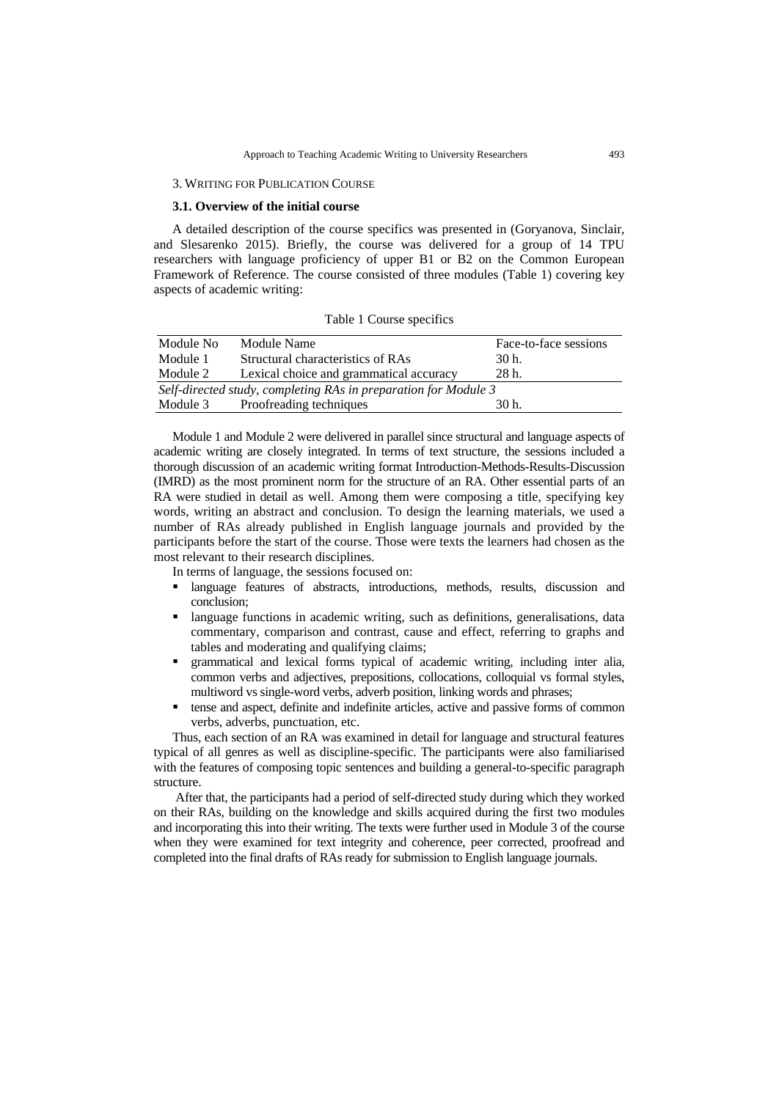### 3. WRITING FOR PUBLICATION COURSE

# **3.1. Overview of the initial course**

A detailed description of the course specifics was presented in (Goryanova, Sinclair, and Slesarenko 2015). Briefly, the course was delivered for a group of 14 TPU researchers with language proficiency of upper B1 or B2 on the Common European Framework of Reference. The course consisted of three modules (Table 1) covering key aspects of academic writing:

Table 1 Course specifics

| Module No                                                       | Module Name                             | Face-to-face sessions |
|-----------------------------------------------------------------|-----------------------------------------|-----------------------|
| Module 1                                                        | Structural characteristics of RAs       | 30 h.                 |
| Module 2                                                        | Lexical choice and grammatical accuracy | 28 h.                 |
| Self-directed study, completing RAs in preparation for Module 3 |                                         |                       |
| Module 3                                                        | Proofreading techniques                 | 30 h.                 |

Module 1 and Module 2 were delivered in parallel since structural and language aspects of academic writing are closely integrated. In terms of text structure, the sessions included a thorough discussion of an academic writing format Introduction-Methods-Results-Discussion (IMRD) as the most prominent norm for the structure of an RA. Other essential parts of an RA were studied in detail as well. Among them were composing a title, specifying key words, writing an abstract and conclusion. To design the learning materials, we used a number of RAs already published in English language journals and provided by the participants before the start of the course. Those were texts the learners had chosen as the most relevant to their research disciplines.

In terms of language, the sessions focused on:

- **I** language features of abstracts, introductions, methods, results, discussion and conclusion;
- language functions in academic writing, such as definitions, generalisations, data commentary, comparison and contrast, cause and effect, referring to graphs and tables and moderating and qualifying claims;
- grammatical and lexical forms typical of academic writing, including inter alia, common verbs and adjectives, prepositions, collocations, colloquial vs formal styles, multiword vs single-word verbs, adverb position, linking words and phrases;
- tense and aspect, definite and indefinite articles, active and passive forms of common verbs, adverbs, punctuation, etc.

Thus, each section of an RA was examined in detail for language and structural features typical of all genres as well as discipline-specific. The participants were also familiarised with the features of composing topic sentences and building a general-to-specific paragraph structure.

After that, the participants had a period of self-directed study during which they worked on their RAs, building on the knowledge and skills acquired during the first two modules and incorporating this into their writing. The texts were further used in Module 3 of the course when they were examined for text integrity and coherence, peer corrected, proofread and completed into the final drafts of RAs ready for submission to English language journals.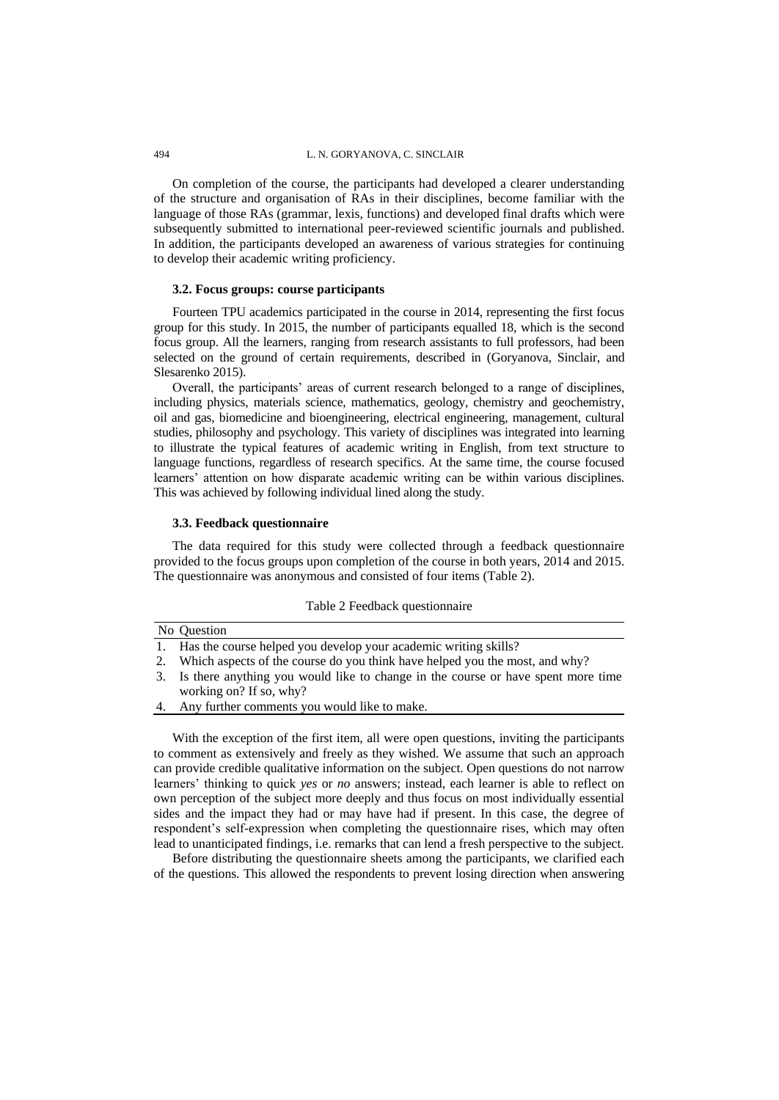On completion of the course, the participants had developed a clearer understanding of the structure and organisation of RAs in their disciplines, become familiar with the language of those RAs (grammar, lexis, functions) and developed final drafts which were subsequently submitted to international peer-reviewed scientific journals and published. In addition, the participants developed an awareness of various strategies for continuing to develop their academic writing proficiency.

### **3.2. Focus groups: course participants**

Fourteen TPU academics participated in the course in 2014, representing the first focus group for this study. In 2015, the number of participants equalled 18, which is the second focus group. All the learners, ranging from research assistants to full professors, had been selected on the ground of certain requirements, described in (Goryanova, Sinclair, and Slesarenko 2015).

Overall, the participants" areas of current research belonged to a range of disciplines, including physics, materials science, mathematics, geology, chemistry and geochemistry, oil and gas, biomedicine and bioengineering, electrical engineering, management, cultural studies, philosophy and psychology. This variety of disciplines was integrated into learning to illustrate the typical features of academic writing in English, from text structure to language functions, regardless of research specifics. At the same time, the course focused learners' attention on how disparate academic writing can be within various disciplines. This was achieved by following individual lined along the study.

### **3.3. Feedback questionnaire**

The data required for this study were collected through a feedback questionnaire provided to the focus groups upon completion of the course in both years, 2014 and 2015. The questionnaire was anonymous and consisted of four items (Table 2).

|    | No Question                                                                         |  |
|----|-------------------------------------------------------------------------------------|--|
|    | 1. Has the course helped you develop your academic writing skills?                  |  |
|    | Which aspects of the course do you think have helped you the most, and why?         |  |
|    | 3. Is there anything you would like to change in the course or have spent more time |  |
|    | working on? If so, why?                                                             |  |
| 4. | Any further comments you would like to make.                                        |  |
|    |                                                                                     |  |

With the exception of the first item, all were open questions, inviting the participants to comment as extensively and freely as they wished. We assume that such an approach can provide credible qualitative information on the subject. Open questions do not narrow learners' thinking to quick *yes* or *no* answers; instead, each learner is able to reflect on own perception of the subject more deeply and thus focus on most individually essential sides and the impact they had or may have had if present. In this case, the degree of respondent"s self-expression when completing the questionnaire rises, which may often lead to unanticipated findings, i.e. remarks that can lend a fresh perspective to the subject.

Before distributing the questionnaire sheets among the participants, we clarified each of the questions. This allowed the respondents to prevent losing direction when answering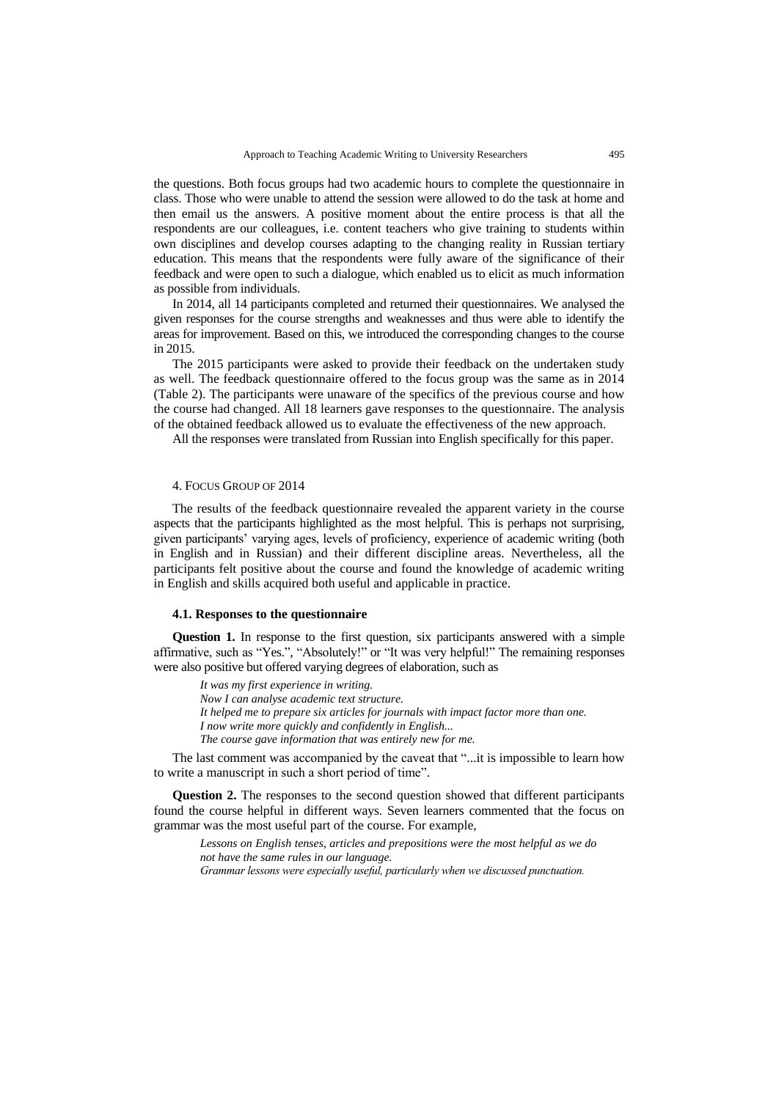the questions. Both focus groups had two academic hours to complete the questionnaire in class. Those who were unable to attend the session were allowed to do the task at home and then email us the answers. A positive moment about the entire process is that all the respondents are our colleagues, i.e. content teachers who give training to students within own disciplines and develop courses adapting to the changing reality in Russian tertiary education. This means that the respondents were fully aware of the significance of their feedback and were open to such a dialogue, which enabled us to elicit as much information as possible from individuals.

In 2014, all 14 participants completed and returned their questionnaires. We analysed the given responses for the course strengths and weaknesses and thus were able to identify the areas for improvement. Based on this, we introduced the corresponding changes to the course in 2015.

The 2015 participants were asked to provide their feedback on the undertaken study as well. The feedback questionnaire offered to the focus group was the same as in 2014 (Table 2). The participants were unaware of the specifics of the previous course and how the course had changed. All 18 learners gave responses to the questionnaire. The analysis of the obtained feedback allowed us to evaluate the effectiveness of the new approach.

All the responses were translated from Russian into English specifically for this paper.

# 4. FOCUS GROUP OF 2014

The results of the feedback questionnaire revealed the apparent variety in the course aspects that the participants highlighted as the most helpful. This is perhaps not surprising, given participants" varying ages, levels of proficiency, experience of academic writing (both in English and in Russian) and their different discipline areas. Nevertheless, all the participants felt positive about the course and found the knowledge of academic writing in English and skills acquired both useful and applicable in practice.

# **4.1. Responses to the questionnaire**

**Question 1.** In response to the first question, six participants answered with a simple affirmative, such as "Yes.", "Absolutely!" or "It was very helpful!" The remaining responses were also positive but offered varying degrees of elaboration, such as

*It was my first experience in writing. Now I can analyse academic text structure. It helped me to prepare six articles for journals with impact factor more than one. I now write more quickly and confidently in English... The course gave information that was entirely new for me.*

The last comment was accompanied by the caveat that "...it is impossible to learn how to write a manuscript in such a short period of time".

**Question 2.** The responses to the second question showed that different participants found the course helpful in different ways. Seven learners commented that the focus on grammar was the most useful part of the course. For example,

*Lessons on English tenses, articles and prepositions were the most helpful as we do not have the same rules in our language.*

*Grammar lessons were especially useful, particularly when we discussed punctuation.*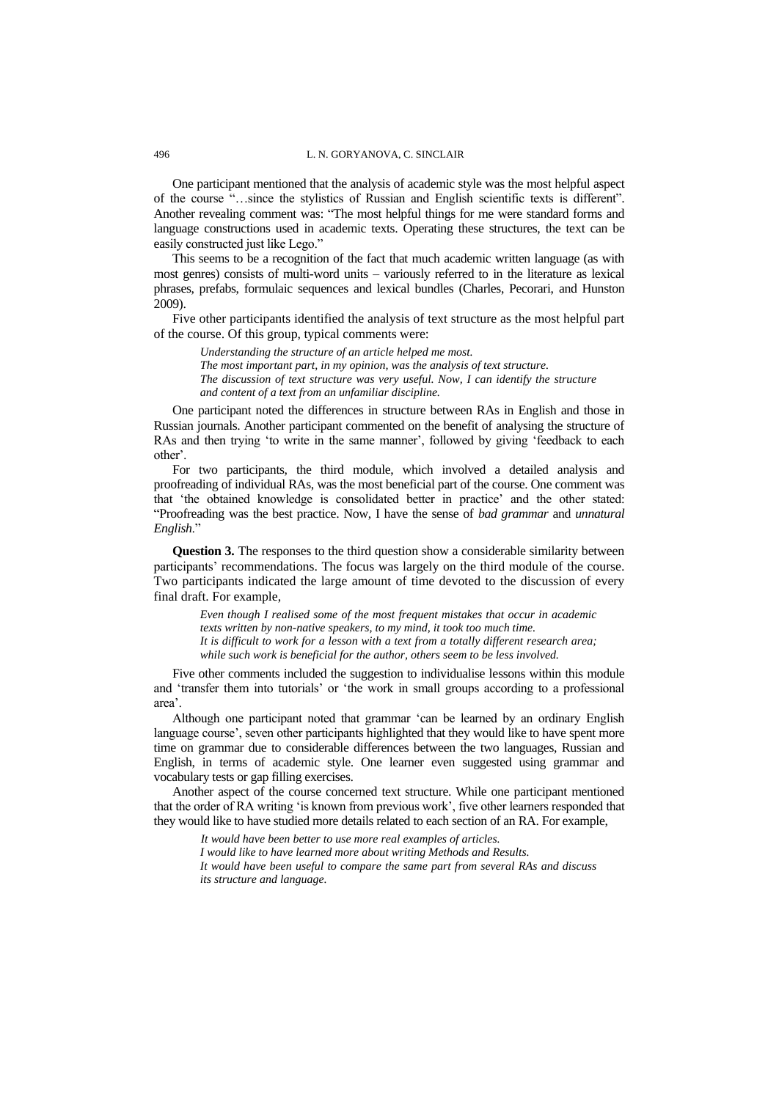One participant mentioned that the analysis of academic style was the most helpful aspect of the course "…since the stylistics of Russian and English scientific texts is different". Another revealing comment was: "The most helpful things for me were standard forms and language constructions used in academic texts. Operating these structures, the text can be easily constructed just like Lego."

This seems to be a recognition of the fact that much academic written language (as with most genres) consists of multi-word units – variously referred to in the literature as lexical phrases, prefabs, formulaic sequences and lexical bundles (Charles, Pecorari, and Hunston 2009).

Five other participants identified the analysis of text structure as the most helpful part of the course. Of this group, typical comments were:

*Understanding the structure of an article helped me most. The most important part, in my opinion, was the analysis of text structure. The discussion of text structure was very useful. Now, I can identify the structure and content of a text from an unfamiliar discipline.*

One participant noted the differences in structure between RAs in English and those in Russian journals. Another participant commented on the benefit of analysing the structure of RAs and then trying 'to write in the same manner', followed by giving 'feedback to each other'.

For two participants, the third module, which involved a detailed analysis and proofreading of individual RAs, was the most beneficial part of the course. One comment was that "the obtained knowledge is consolidated better in practice" and the other stated: "Proofreading was the best practice. Now, I have the sense of *bad grammar* and *unnatural English*."

**Question 3.** The responses to the third question show a considerable similarity between participants' recommendations. The focus was largely on the third module of the course. Two participants indicated the large amount of time devoted to the discussion of every final draft. For example,

*Even though I realised some of the most frequent mistakes that occur in academic texts written by non-native speakers, to my mind, it took too much time. It is difficult to work for a lesson with a text from a totally different research area; while such work is beneficial for the author, others seem to be less involved.* 

Five other comments included the suggestion to individualise lessons within this module and "transfer them into tutorials" or "the work in small groups according to a professional area'.

Although one participant noted that grammar "can be learned by an ordinary English language course', seven other participants highlighted that they would like to have spent more time on grammar due to considerable differences between the two languages, Russian and English, in terms of academic style. One learner even suggested using grammar and vocabulary tests or gap filling exercises.

Another aspect of the course concerned text structure. While one participant mentioned that the order of RA writing "is known from previous work", five other learners responded that they would like to have studied more details related to each section of an RA. For example,

*It would have been better to use more real examples of articles. I would like to have learned more about writing Methods and Results. It would have been useful to compare the same part from several RAs and discuss its structure and language.*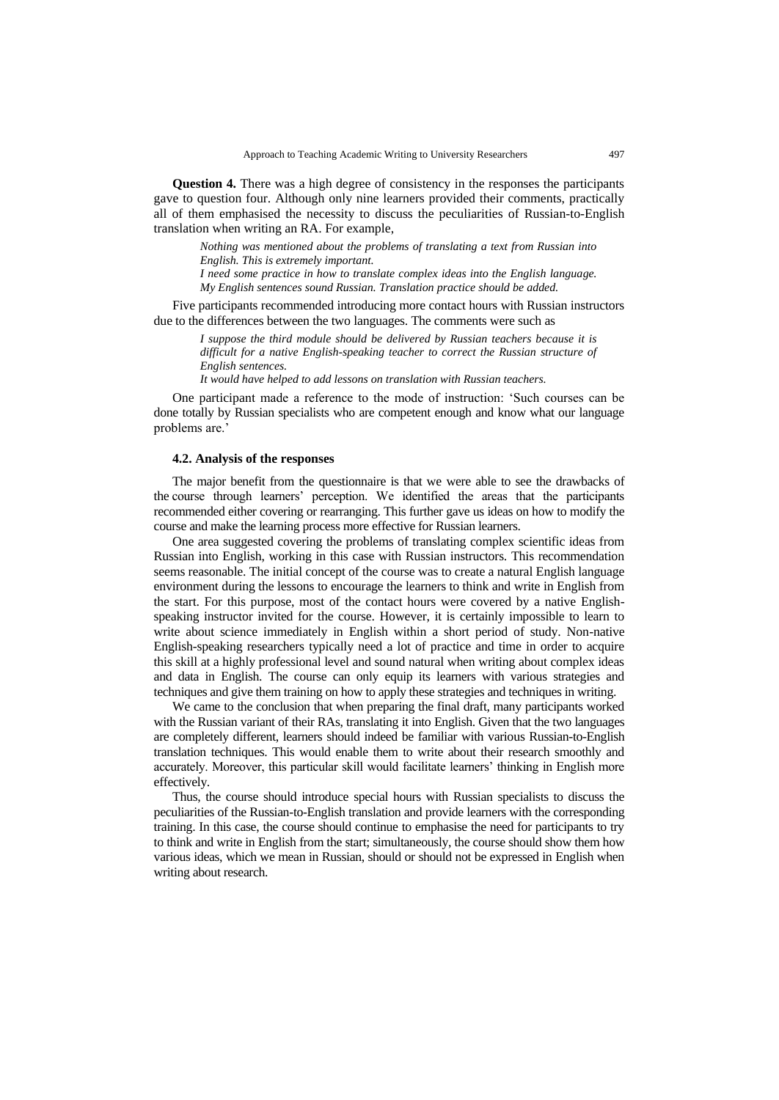**Question 4.** There was a high degree of consistency in the responses the participants gave to question four. Although only nine learners provided their comments, practically all of them emphasised the necessity to discuss the peculiarities of Russian-to-English translation when writing an RA. For example,

*Nothing was mentioned about the problems of translating a text from Russian into English. This is extremely important. I need some practice in how to translate complex ideas into the English language.* 

*My English sentences sound Russian. Translation practice should be added.*

Five participants recommended introducing more contact hours with Russian instructors due to the differences between the two languages. The comments were such as

*I suppose the third module should be delivered by Russian teachers because it is difficult for a native English-speaking teacher to correct the Russian structure of English sentences.*

*It would have helped to add lessons on translation with Russian teachers.*

One participant made a reference to the mode of instruction: "Such courses can be done totally by Russian specialists who are competent enough and know what our language problems are."

### **4.2. Analysis of the responses**

The major benefit from the questionnaire is that we were able to see the drawbacks of the course through learners" perception. We identified the areas that the participants recommended either covering or rearranging. This further gave us ideas on how to modify the course and make the learning process more effective for Russian learners.

One area suggested covering the problems of translating complex scientific ideas from Russian into English, working in this case with Russian instructors. This recommendation seems reasonable. The initial concept of the course was to create a natural English language environment during the lessons to encourage the learners to think and write in English from the start. For this purpose, most of the contact hours were covered by a native Englishspeaking instructor invited for the course. However, it is certainly impossible to learn to write about science immediately in English within a short period of study. Non-native English-speaking researchers typically need a lot of practice and time in order to acquire this skill at a highly professional level and sound natural when writing about complex ideas and data in English. The course can only equip its learners with various strategies and techniques and give them training on how to apply these strategies and techniques in writing.

We came to the conclusion that when preparing the final draft, many participants worked with the Russian variant of their RAs, translating it into English. Given that the two languages are completely different, learners should indeed be familiar with various Russian-to-English translation techniques. This would enable them to write about their research smoothly and accurately. Moreover, this particular skill would facilitate learners" thinking in English more effectively.

Thus, the course should introduce special hours with Russian specialists to discuss the peculiarities of the Russian-to-English translation and provide learners with the corresponding training. In this case, the course should continue to emphasise the need for participants to try to think and write in English from the start; simultaneously, the course should show them how various ideas, which we mean in Russian, should or should not be expressed in English when writing about research.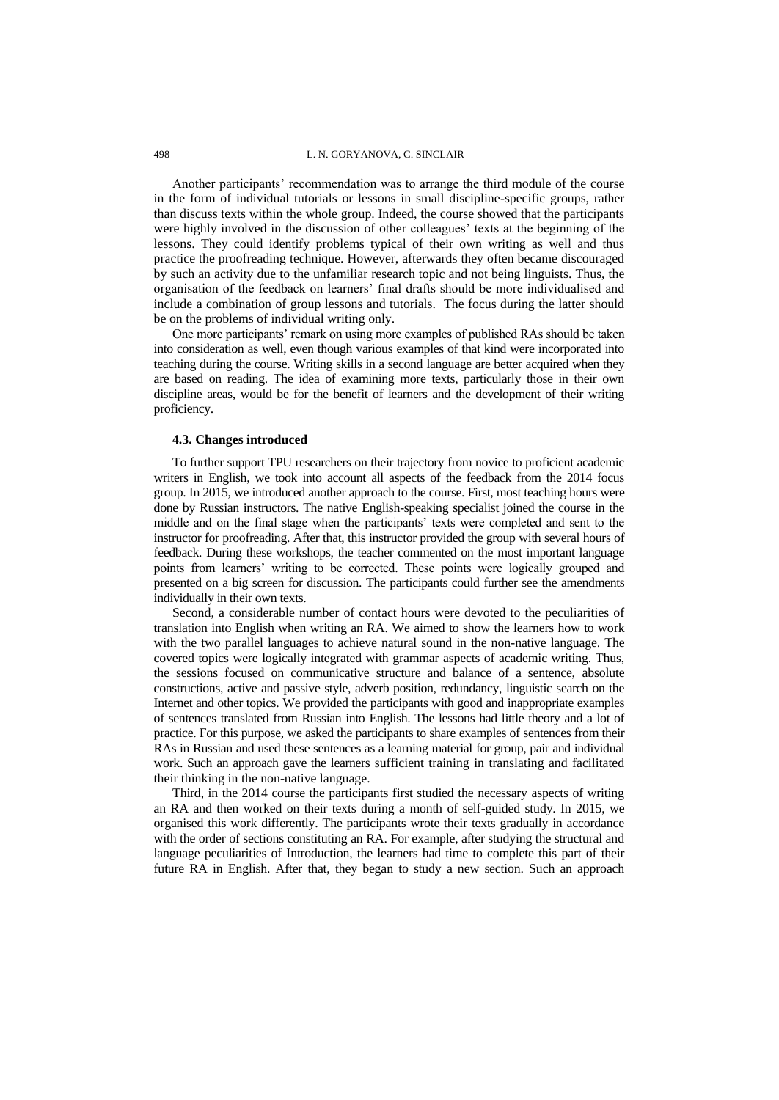Another participants' recommendation was to arrange the third module of the course in the form of individual tutorials or lessons in small discipline-specific groups, rather than discuss texts within the whole group. Indeed, the course showed that the participants were highly involved in the discussion of other colleagues' texts at the beginning of the lessons. They could identify problems typical of their own writing as well and thus practice the proofreading technique. However, afterwards they often became discouraged by such an activity due to the unfamiliar research topic and not being linguists. Thus, the organisation of the feedback on learners" final drafts should be more individualised and include a combination of group lessons and tutorials. The focus during the latter should be on the problems of individual writing only.

One more participants" remark on using more examples of published RAs should be taken into consideration as well, even though various examples of that kind were incorporated into teaching during the course. Writing skills in a second language are better acquired when they are based on reading. The idea of examining more texts, particularly those in their own discipline areas, would be for the benefit of learners and the development of their writing proficiency.

# **4.3. Changes introduced**

To further support TPU researchers on their trajectory from novice to proficient academic writers in English, we took into account all aspects of the feedback from the 2014 focus group. In 2015, we introduced another approach to the course. First, most teaching hours were done by Russian instructors. The native English-speaking specialist joined the course in the middle and on the final stage when the participants' texts were completed and sent to the instructor for proofreading. After that, this instructor provided the group with several hours of feedback. During these workshops, the teacher commented on the most important language points from learners" writing to be corrected. These points were logically grouped and presented on a big screen for discussion. The participants could further see the amendments individually in their own texts.

Second, a considerable number of contact hours were devoted to the peculiarities of translation into English when writing an RA. We aimed to show the learners how to work with the two parallel languages to achieve natural sound in the non-native language. The covered topics were logically integrated with grammar aspects of academic writing. Thus, the sessions focused on communicative structure and balance of a sentence, absolute constructions, active and passive style, adverb position, redundancy, linguistic search on the Internet and other topics. We provided the participants with good and inappropriate examples of sentences translated from Russian into English. The lessons had little theory and a lot of practice. For this purpose, we asked the participants to share examples of sentences from their RAs in Russian and used these sentences as a learning material for group, pair and individual work. Such an approach gave the learners sufficient training in translating and facilitated their thinking in the non-native language.

Third, in the 2014 course the participants first studied the necessary aspects of writing an RA and then worked on their texts during a month of self-guided study. In 2015, we organised this work differently. The participants wrote their texts gradually in accordance with the order of sections constituting an RA. For example, after studying the structural and language peculiarities of Introduction, the learners had time to complete this part of their future RA in English. After that, they began to study a new section. Such an approach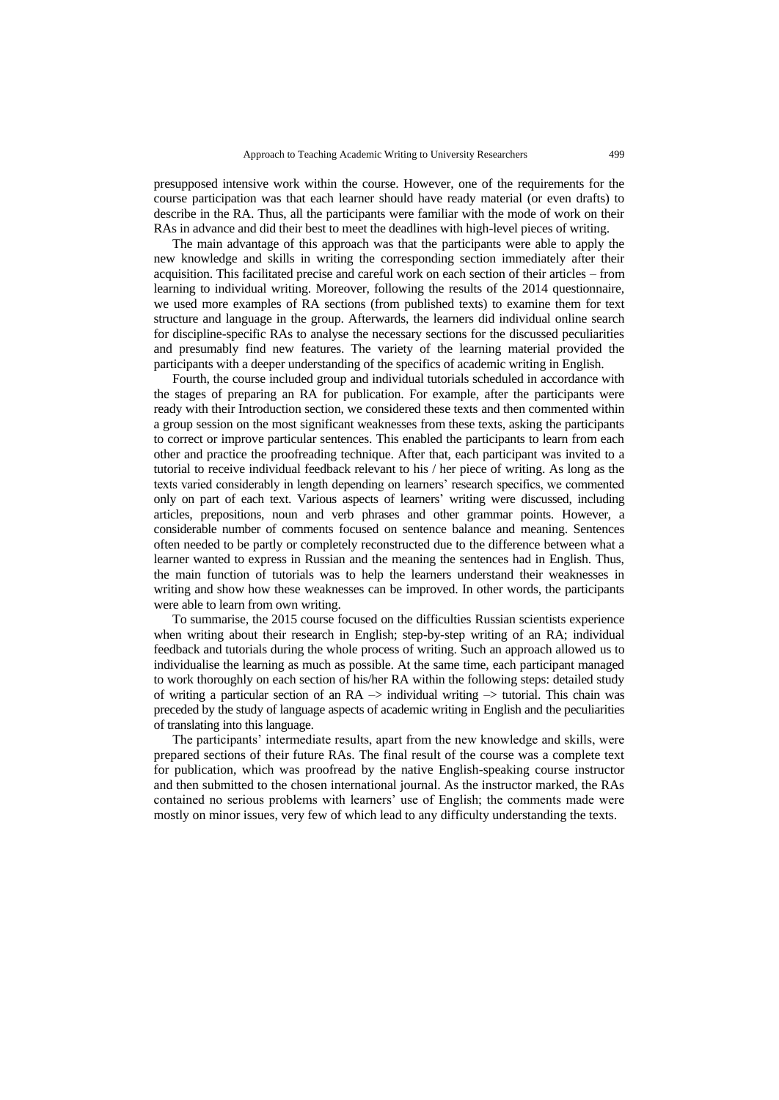presupposed intensive work within the course. However, one of the requirements for the course participation was that each learner should have ready material (or even drafts) to describe in the RA. Thus, all the participants were familiar with the mode of work on their RAs in advance and did their best to meet the deadlines with high-level pieces of writing.

The main advantage of this approach was that the participants were able to apply the new knowledge and skills in writing the corresponding section immediately after their acquisition. This facilitated precise and careful work on each section of their articles – from learning to individual writing. Moreover, following the results of the 2014 questionnaire, we used more examples of RA sections (from published texts) to examine them for text structure and language in the group. Afterwards, the learners did individual online search for discipline-specific RAs to analyse the necessary sections for the discussed peculiarities and presumably find new features. The variety of the learning material provided the participants with a deeper understanding of the specifics of academic writing in English.

Fourth, the course included group and individual tutorials scheduled in accordance with the stages of preparing an RA for publication. For example, after the participants were ready with their Introduction section, we considered these texts and then commented within a group session on the most significant weaknesses from these texts, asking the participants to correct or improve particular sentences. This enabled the participants to learn from each other and practice the proofreading technique. After that, each participant was invited to a tutorial to receive individual feedback relevant to his / her piece of writing. As long as the texts varied considerably in length depending on learners" research specifics, we commented only on part of each text. Various aspects of learners" writing were discussed, including articles, prepositions, noun and verb phrases and other grammar points. However, a considerable number of comments focused on sentence balance and meaning. Sentences often needed to be partly or completely reconstructed due to the difference between what a learner wanted to express in Russian and the meaning the sentences had in English. Thus, the main function of tutorials was to help the learners understand their weaknesses in writing and show how these weaknesses can be improved. In other words, the participants were able to learn from own writing.

To summarise, the 2015 course focused on the difficulties Russian scientists experience when writing about their research in English; step-by-step writing of an RA; individual feedback and tutorials during the whole process of writing. Such an approach allowed us to individualise the learning as much as possible. At the same time, each participant managed to work thoroughly on each section of his/her RA within the following steps: detailed study of writing a particular section of an  $RA \rightarrow$  individual writing  $\rightarrow$  tutorial. This chain was preceded by the study of language aspects of academic writing in English and the peculiarities of translating into this language.

The participants' intermediate results, apart from the new knowledge and skills, were prepared sections of their future RAs. The final result of the course was a complete text for publication, which was proofread by the native English-speaking course instructor and then submitted to the chosen international journal. As the instructor marked, the RAs contained no serious problems with learners' use of English; the comments made were mostly on minor issues, very few of which lead to any difficulty understanding the texts.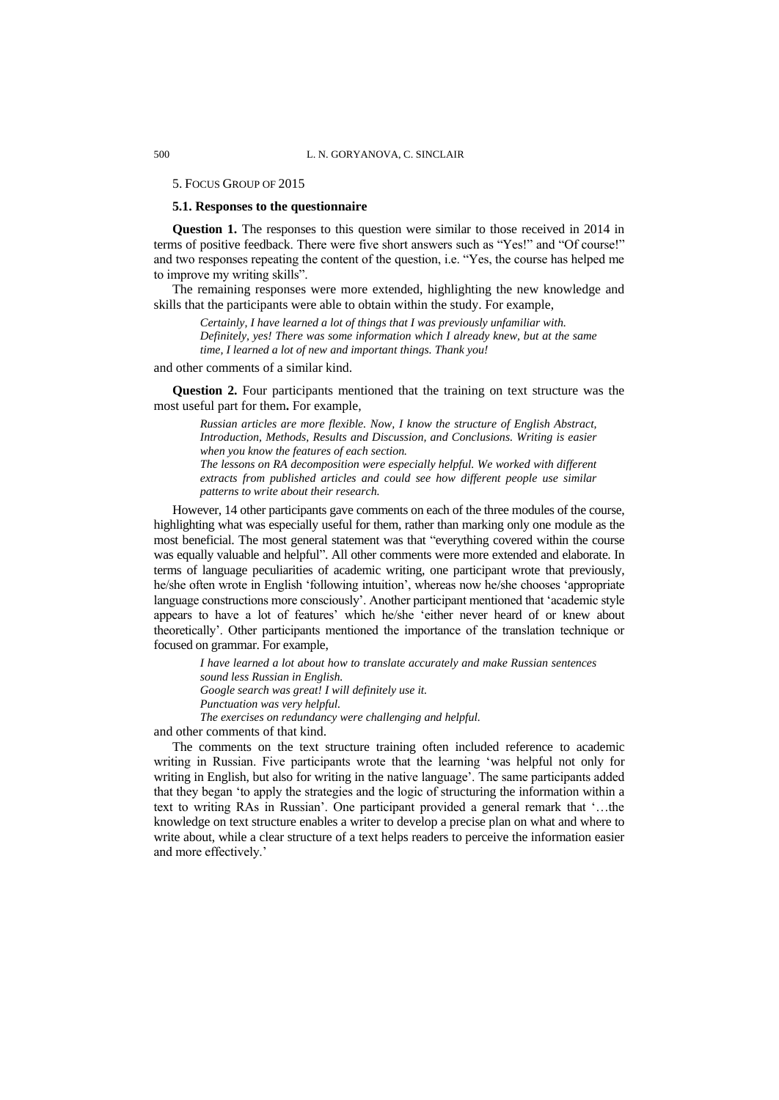### 5. FOCUS GROUP OF 2015

# **5.1. Responses to the questionnaire**

**Question 1.** The responses to this question were similar to those received in 2014 in terms of positive feedback. There were five short answers such as "Yes!" and "Of course!" and two responses repeating the content of the question, i.e. "Yes, the course has helped me to improve my writing skills".

The remaining responses were more extended, highlighting the new knowledge and skills that the participants were able to obtain within the study. For example,

*Certainly, I have learned a lot of things that I was previously unfamiliar with. Definitely, yes! There was some information which I already knew, but at the same time, I learned a lot of new and important things. Thank you!*

and other comments of a similar kind.

**Question 2.** Four participants mentioned that the training on text structure was the most useful part for them**.** For example,

*Russian articles are more flexible. Now, I know the structure of English Abstract, Introduction, Methods, Results and Discussion, and Conclusions. Writing is easier when you know the features of each section. The lessons on RA decomposition were especially helpful. We worked with different extracts from published articles and could see how different people use similar patterns to write about their research.*

However, 14 other participants gave comments on each of the three modules of the course, highlighting what was especially useful for them, rather than marking only one module as the most beneficial. The most general statement was that "everything covered within the course was equally valuable and helpful". All other comments were more extended and elaborate. In terms of language peculiarities of academic writing, one participant wrote that previously, he/she often wrote in English "following intuition", whereas now he/she chooses "appropriate language constructions more consciously'. Another participant mentioned that 'academic style appears to have a lot of features' which he/she 'either never heard of or knew about theoretically". Other participants mentioned the importance of the translation technique or focused on grammar. For example,

*I have learned a lot about how to translate accurately and make Russian sentences sound less Russian in English. Google search was great! I will definitely use it. Punctuation was very helpful. The exercises on redundancy were challenging and helpful.*

and other comments of that kind.

The comments on the text structure training often included reference to academic writing in Russian. Five participants wrote that the learning "was helpful not only for writing in English, but also for writing in the native language'. The same participants added that they began "to apply the strategies and the logic of structuring the information within a text to writing RAs in Russian'. One participant provided a general remark that '...the knowledge on text structure enables a writer to develop a precise plan on what and where to write about, while a clear structure of a text helps readers to perceive the information easier and more effectively.'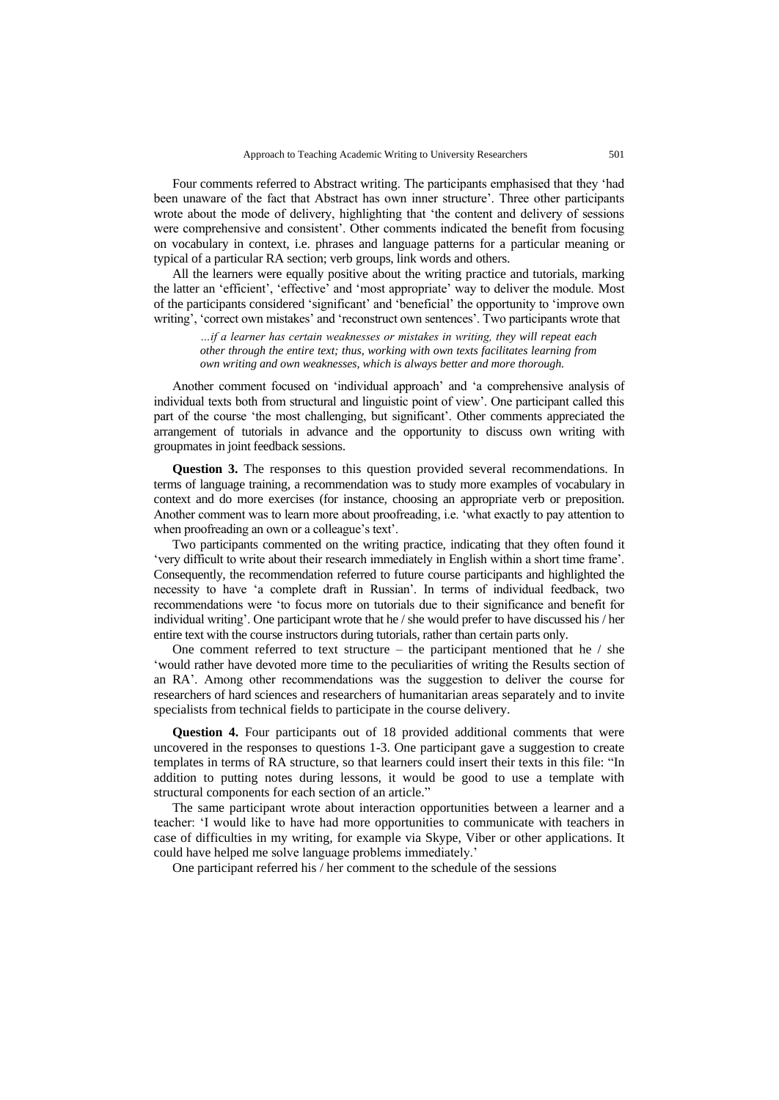Four comments referred to Abstract writing. The participants emphasised that they "had been unaware of the fact that Abstract has own inner structure". Three other participants wrote about the mode of delivery, highlighting that "the content and delivery of sessions were comprehensive and consistent'. Other comments indicated the benefit from focusing on vocabulary in context, i.e. phrases and language patterns for a particular meaning or typical of a particular RA section; verb groups, link words and others.

All the learners were equally positive about the writing practice and tutorials, marking the latter an "efficient", "effective" and "most appropriate" way to deliver the module. Most of the participants considered "significant" and "beneficial" the opportunity to "improve own writing', 'correct own mistakes' and 'reconstruct own sentences'. Two participants wrote that

*…if a learner has certain weaknesses or mistakes in writing, they will repeat each other through the entire text; thus, working with own texts facilitates learning from own writing and own weaknesses, which is always better and more thorough.* 

Another comment focused on "individual approach" and "a comprehensive analysis of individual texts both from structural and linguistic point of view". One participant called this part of the course 'the most challenging, but significant'. Other comments appreciated the arrangement of tutorials in advance and the opportunity to discuss own writing with groupmates in joint feedback sessions.

**Question 3.** The responses to this question provided several recommendations. In terms of language training, a recommendation was to study more examples of vocabulary in context and do more exercises (for instance, choosing an appropriate verb or preposition. Another comment was to learn more about proofreading, i.e. "what exactly to pay attention to when proofreading an own or a colleague's text'.

Two participants commented on the writing practice, indicating that they often found it "very difficult to write about their research immediately in English within a short time frame". Consequently, the recommendation referred to future course participants and highlighted the necessity to have "a complete draft in Russian". In terms of individual feedback, two recommendations were "to focus more on tutorials due to their significance and benefit for individual writing". One participant wrote that he / she would prefer to have discussed his / her entire text with the course instructors during tutorials, rather than certain parts only.

One comment referred to text structure – the participant mentioned that he / she "would rather have devoted more time to the peculiarities of writing the Results section of an RA". Among other recommendations was the suggestion to deliver the course for researchers of hard sciences and researchers of humanitarian areas separately and to invite specialists from technical fields to participate in the course delivery.

**Question 4.** Four participants out of 18 provided additional comments that were uncovered in the responses to questions 1-3. One participant gave a suggestion to create templates in terms of RA structure, so that learners could insert their texts in this file: "In addition to putting notes during lessons, it would be good to use a template with structural components for each section of an article."

The same participant wrote about interaction opportunities between a learner and a teacher: "I would like to have had more opportunities to communicate with teachers in case of difficulties in my writing, for example via Skype, Viber or other applications. It could have helped me solve language problems immediately."

One participant referred his / her comment to the schedule of the sessions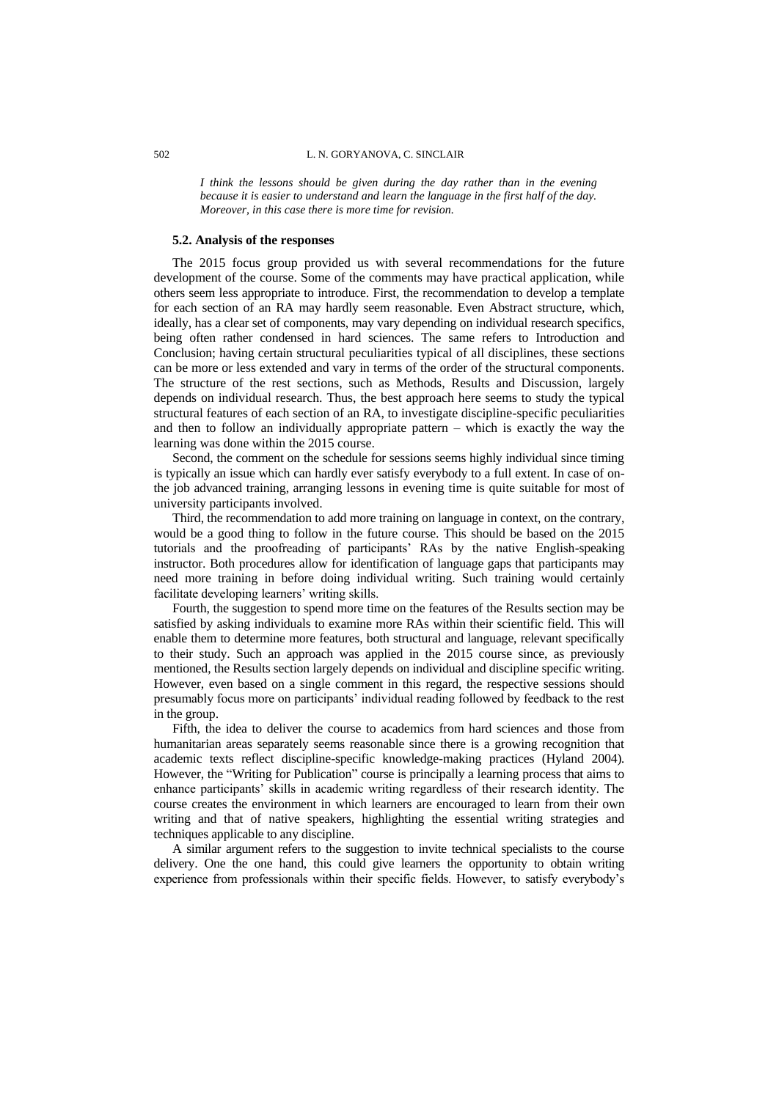*I think the lessons should be given during the day rather than in the evening because it is easier to understand and learn the language in the first half of the day. Moreover, in this case there is more time for revision.*

### **5.2. Analysis of the responses**

The 2015 focus group provided us with several recommendations for the future development of the course. Some of the comments may have practical application, while others seem less appropriate to introduce. First, the recommendation to develop a template for each section of an RA may hardly seem reasonable. Even Abstract structure, which, ideally, has a clear set of components, may vary depending on individual research specifics, being often rather condensed in hard sciences. The same refers to Introduction and Conclusion; having certain structural peculiarities typical of all disciplines, these sections can be more or less extended and vary in terms of the order of the structural components. The structure of the rest sections, such as Methods, Results and Discussion, largely depends on individual research. Thus, the best approach here seems to study the typical structural features of each section of an RA, to investigate discipline-specific peculiarities and then to follow an individually appropriate pattern – which is exactly the way the learning was done within the 2015 course.

Second, the comment on the schedule for sessions seems highly individual since timing is typically an issue which can hardly ever satisfy everybody to a full extent. In case of onthe job advanced training, arranging lessons in evening time is quite suitable for most of university participants involved.

Third, the recommendation to add more training on language in context, on the contrary, would be a good thing to follow in the future course. This should be based on the 2015 tutorials and the proofreading of participants" RAs by the native English-speaking instructor. Both procedures allow for identification of language gaps that participants may need more training in before doing individual writing. Such training would certainly facilitate developing learners' writing skills.

Fourth, the suggestion to spend more time on the features of the Results section may be satisfied by asking individuals to examine more RAs within their scientific field. This will enable them to determine more features, both structural and language, relevant specifically to their study. Such an approach was applied in the 2015 course since, as previously mentioned, the Results section largely depends on individual and discipline specific writing. However, even based on a single comment in this regard, the respective sessions should presumably focus more on participants' individual reading followed by feedback to the rest in the group.

Fifth, the idea to deliver the course to academics from hard sciences and those from humanitarian areas separately seems reasonable since there is a growing recognition that academic texts reflect discipline-specific knowledge-making practices (Hyland 2004)*.* However, the "Writing for Publication" course is principally a learning process that aims to enhance participants" skills in academic writing regardless of their research identity. The course creates the environment in which learners are encouraged to learn from their own writing and that of native speakers, highlighting the essential writing strategies and techniques applicable to any discipline.

A similar argument refers to the suggestion to invite technical specialists to the course delivery. One the one hand, this could give learners the opportunity to obtain writing experience from professionals within their specific fields. However, to satisfy everybody"s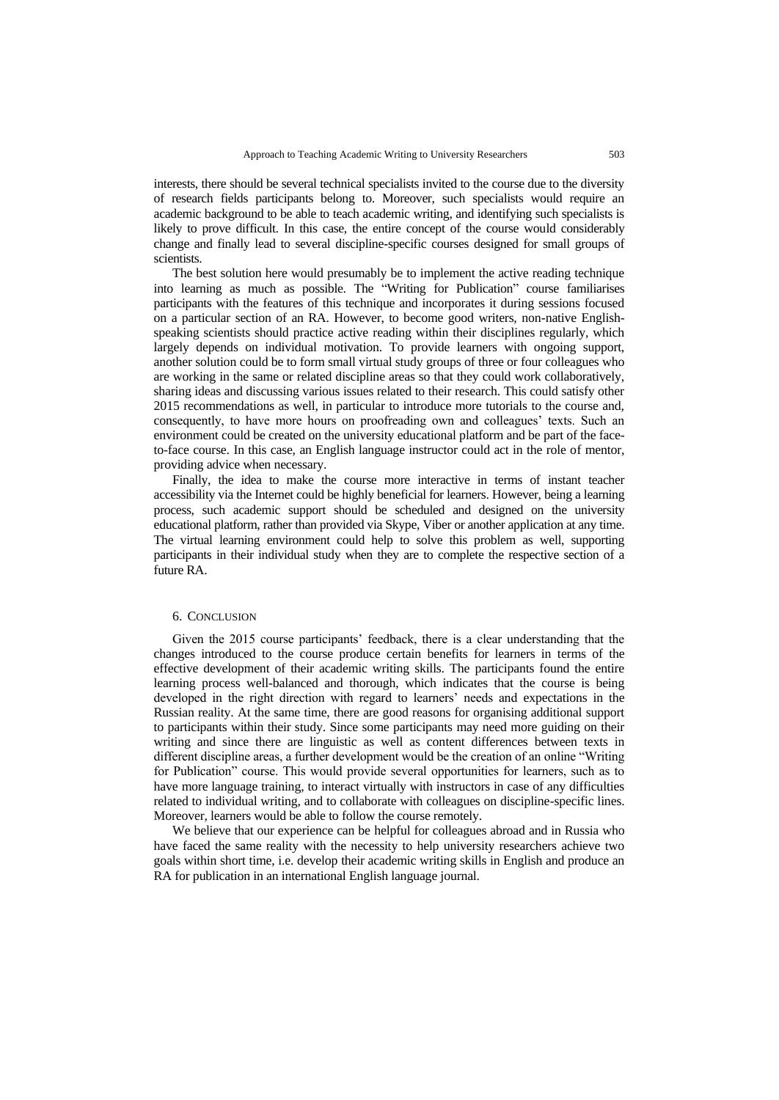interests, there should be several technical specialists invited to the course due to the diversity of research fields participants belong to. Moreover, such specialists would require an academic background to be able to teach academic writing, and identifying such specialists is likely to prove difficult. In this case, the entire concept of the course would considerably change and finally lead to several discipline-specific courses designed for small groups of scientists.

The best solution here would presumably be to implement the active reading technique into learning as much as possible. The "Writing for Publication" course familiarises participants with the features of this technique and incorporates it during sessions focused on a particular section of an RA. However, to become good writers, non-native Englishspeaking scientists should practice active reading within their disciplines regularly, which largely depends on individual motivation. To provide learners with ongoing support, another solution could be to form small virtual study groups of three or four colleagues who are working in the same or related discipline areas so that they could work collaboratively, sharing ideas and discussing various issues related to their research. This could satisfy other 2015 recommendations as well, in particular to introduce more tutorials to the course and, consequently, to have more hours on proofreading own and colleagues' texts. Such an environment could be created on the university educational platform and be part of the faceto-face course. In this case, an English language instructor could act in the role of mentor, providing advice when necessary.

Finally, the idea to make the course more interactive in terms of instant teacher accessibility via the Internet could be highly beneficial for learners. However, being a learning process, such academic support should be scheduled and designed on the university educational platform, rather than provided via Skype, Viber or another application at any time. The virtual learning environment could help to solve this problem as well, supporting participants in their individual study when they are to complete the respective section of a future RA.

### 6. CONCLUSION

Given the 2015 course participants" feedback, there is a clear understanding that the changes introduced to the course produce certain benefits for learners in terms of the effective development of their academic writing skills. The participants found the entire learning process well-balanced and thorough, which indicates that the course is being developed in the right direction with regard to learners" needs and expectations in the Russian reality. At the same time, there are good reasons for organising additional support to participants within their study. Since some participants may need more guiding on their writing and since there are linguistic as well as content differences between texts in different discipline areas, a further development would be the creation of an online "Writing for Publication" course. This would provide several opportunities for learners, such as to have more language training, to interact virtually with instructors in case of any difficulties related to individual writing, and to collaborate with colleagues on discipline-specific lines. Moreover, learners would be able to follow the course remotely.

We believe that our experience can be helpful for colleagues abroad and in Russia who have faced the same reality with the necessity to help university researchers achieve two goals within short time, i.e. develop their academic writing skills in English and produce an RA for publication in an international English language journal.